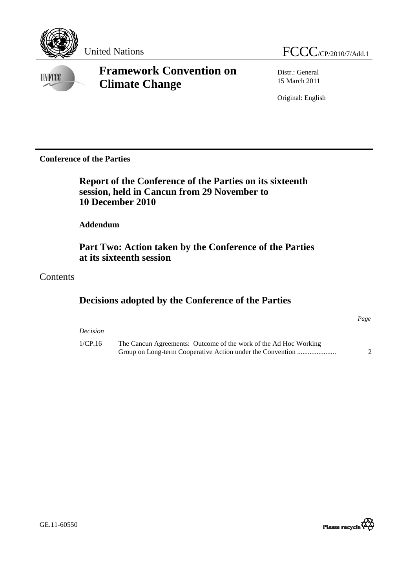

**UNFCCC** 

# **Framework Convention on Climate Change**

Distr.: General 15 March 2011

Original: English

**Conference of the Parties** 

# **Report of the Conference of the Parties on its sixteenth session, held in Cancun from 29 November to 10 December 2010**

 **Addendum** 

 **Part Two: Action taken by the Conference of the Parties at its sixteenth session** 

Contents

# **Decisions adopted by the Conference of the Parties**

| <i>Decision</i> |                                                                  |  |
|-----------------|------------------------------------------------------------------|--|
| 1/CP.16         | The Cancun Agreements: Outcome of the work of the Ad Hoc Working |  |
|                 |                                                                  |  |



*Page* 

GE.11-60550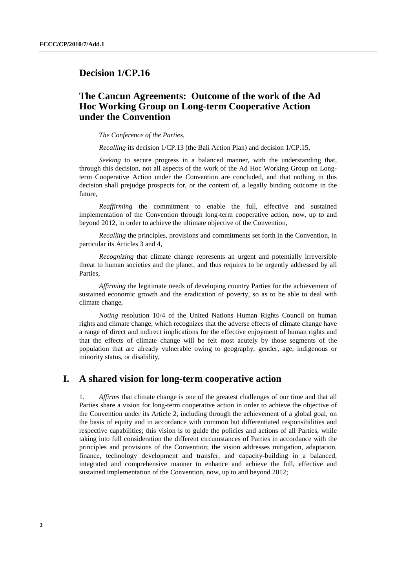## **Decision 1/CP.16**

# **The Cancun Agreements: Outcome of the work of the Ad Hoc Working Group on Long-term Cooperative Action under the Convention**

#### *The Conference of the Parties,*

*Recalling* its decision 1/CP.13 (the Bali Action Plan) and decision 1/CP.15,

*Seeking* to secure progress in a balanced manner, with the understanding that, through this decision, not all aspects of the work of the Ad Hoc Working Group on Longterm Cooperative Action under the Convention are concluded, and that nothing in this decision shall prejudge prospects for, or the content of, a legally binding outcome in the future,

*Reaffirming* the commitment to enable the full, effective and sustained implementation of the Convention through long-term cooperative action, now, up to and beyond 2012, in order to achieve the ultimate objective of the Convention,

*Recalling* the principles, provisions and commitments set forth in the Convention, in particular its Articles 3 and 4,

*Recognizing* that climate change represents an urgent and potentially irreversible threat to human societies and the planet, and thus requires to be urgently addressed by all Parties,

*Affirming* the legitimate needs of developing country Parties for the achievement of sustained economic growth and the eradication of poverty, so as to be able to deal with climate change,

*Noting* resolution 10/4 of the United Nations Human Rights Council on human rights and climate change, which recognizes that the adverse effects of climate change have a range of direct and indirect implications for the effective enjoyment of human rights and that the effects of climate change will be felt most acutely by those segments of the population that are already vulnerable owing to geography, gender, age, indigenous or minority status, or disability,

# **I. A shared vision for long-term cooperative action**

1. *Affirms* that climate change is one of the greatest challenges of our time and that all Parties share a vision for long-term cooperative action in order to achieve the objective of the Convention under its Article 2, including through the achievement of a global goal, on the basis of equity and in accordance with common but differentiated responsibilities and respective capabilities; this vision is to guide the policies and actions of all Parties, while taking into full consideration the different circumstances of Parties in accordance with the principles and provisions of the Convention; the vision addresses mitigation, adaptation, finance, technology development and transfer, and capacity-building in a balanced, integrated and comprehensive manner to enhance and achieve the full, effective and sustained implementation of the Convention, now, up to and beyond 2012;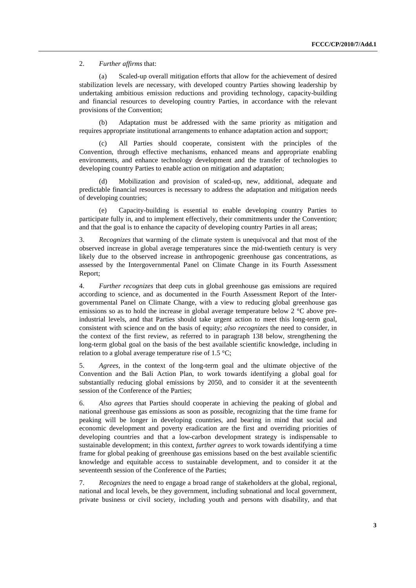2. *Further affirms* that:

Scaled-up overall mitigation efforts that allow for the achievement of desired stabilization levels are necessary, with developed country Parties showing leadership by undertaking ambitious emission reductions and providing technology, capacity-building and financial resources to developing country Parties, in accordance with the relevant provisions of the Convention;

 (b) Adaptation must be addressed with the same priority as mitigation and requires appropriate institutional arrangements to enhance adaptation action and support;

 (c) All Parties should cooperate, consistent with the principles of the Convention, through effective mechanisms, enhanced means and appropriate enabling environments, and enhance technology development and the transfer of technologies to developing country Parties to enable action on mitigation and adaptation;

 (d) Mobilization and provision of scaled-up, new, additional, adequate and predictable financial resources is necessary to address the adaptation and mitigation needs of developing countries;

 (e) Capacity-building is essential to enable developing country Parties to participate fully in, and to implement effectively, their commitments under the Convention; and that the goal is to enhance the capacity of developing country Parties in all areas;

3. *Recognizes* that warming of the climate system is unequivocal and that most of the observed increase in global average temperatures since the mid-twentieth century is very likely due to the observed increase in anthropogenic greenhouse gas concentrations, as assessed by the Intergovernmental Panel on Climate Change in its Fourth Assessment Report;

4. *Further recognizes* that deep cuts in global greenhouse gas emissions are required according to science, and as documented in the Fourth Assessment Report of the Intergovernmental Panel on Climate Change, with a view to reducing global greenhouse gas emissions so as to hold the increase in global average temperature below 2 °C above preindustrial levels, and that Parties should take urgent action to meet this long-term goal, consistent with science and on the basis of equity; *also recognizes* the need to consider, in the context of the first review, as referred to in paragraph 138 below, strengthening the long-term global goal on the basis of the best available scientific knowledge, including in relation to a global average temperature rise of 1.5  $\textdegree$ C;

5. *Agrees*, in the context of the long-term goal and the ultimate objective of the Convention and the Bali Action Plan, to work towards identifying a global goal for substantially reducing global emissions by 2050, and to consider it at the seventeenth session of the Conference of the Parties;

6. *Also agrees* that Parties should cooperate in achieving the peaking of global and national greenhouse gas emissions as soon as possible, recognizing that the time frame for peaking will be longer in developing countries, and bearing in mind that social and economic development and poverty eradication are the first and overriding priorities of developing countries and that a low-carbon development strategy is indispensable to sustainable development; in this context, *further agrees* to work towards identifying a time frame for global peaking of greenhouse gas emissions based on the best available scientific knowledge and equitable access to sustainable development, and to consider it at the seventeenth session of the Conference of the Parties;

7. *Recognizes* the need to engage a broad range of stakeholders at the global, regional, national and local levels, be they government, including subnational and local government, private business or civil society, including youth and persons with disability, and that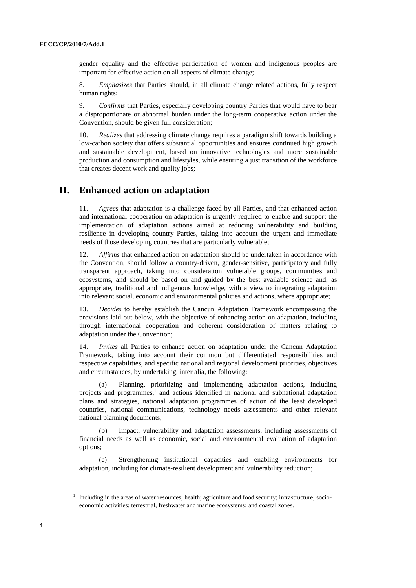gender equality and the effective participation of women and indigenous peoples are important for effective action on all aspects of climate change;

8. *Emphasizes* that Parties should, in all climate change related actions, fully respect human rights;

9. *Confirms* that Parties, especially developing country Parties that would have to bear a disproportionate or abnormal burden under the long-term cooperative action under the Convention, should be given full consideration;

10. *Realizes* that addressing climate change requires a paradigm shift towards building a low-carbon society that offers substantial opportunities and ensures continued high growth and sustainable development, based on innovative technologies and more sustainable production and consumption and lifestyles, while ensuring a just transition of the workforce that creates decent work and quality jobs;

### **II. Enhanced action on adaptation**

11. *Agrees* that adaptation is a challenge faced by all Parties, and that enhanced action and international cooperation on adaptation is urgently required to enable and support the implementation of adaptation actions aimed at reducing vulnerability and building resilience in developing country Parties, taking into account the urgent and immediate needs of those developing countries that are particularly vulnerable;

12. *Affirms* that enhanced action on adaptation should be undertaken in accordance with the Convention, should follow a country-driven, gender-sensitive, participatory and fully transparent approach, taking into consideration vulnerable groups, communities and ecosystems, and should be based on and guided by the best available science and, as appropriate, traditional and indigenous knowledge, with a view to integrating adaptation into relevant social, economic and environmental policies and actions, where appropriate;

13. *Decides* to hereby establish the Cancun Adaptation Framework encompassing the provisions laid out below, with the objective of enhancing action on adaptation, including through international cooperation and coherent consideration of matters relating to adaptation under the Convention;

14. *Invites* all Parties to enhance action on adaptation under the Cancun Adaptation Framework, taking into account their common but differentiated responsibilities and respective capabilities, and specific national and regional development priorities, objectives and circumstances, by undertaking, inter alia, the following:

 (a) Planning, prioritizing and implementing adaptation actions, including projects and programmes,<sup>1</sup> and actions identified in national and subnational adaptation plans and strategies, national adaptation programmes of action of the least developed countries, national communications, technology needs assessments and other relevant national planning documents;

 (b) Impact, vulnerability and adaptation assessments, including assessments of financial needs as well as economic, social and environmental evaluation of adaptation options;

 (c) Strengthening institutional capacities and enabling environments for adaptation, including for climate-resilient development and vulnerability reduction;

<sup>&</sup>lt;u>1</u>  $1$  Including in the areas of water resources; health; agriculture and food security; infrastructure; socioeconomic activities; terrestrial, freshwater and marine ecosystems; and coastal zones.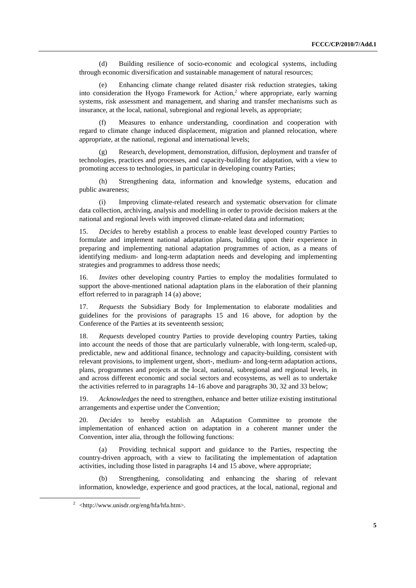(d) Building resilience of socio-economic and ecological systems, including through economic diversification and sustainable management of natural resources;

 (e) Enhancing climate change related disaster risk reduction strategies, taking into consideration the Hyogo Framework for Action,<sup>2</sup> where appropriate, early warning systems, risk assessment and management, and sharing and transfer mechanisms such as insurance, at the local, national, subregional and regional levels, as appropriate;

Measures to enhance understanding, coordination and cooperation with regard to climate change induced displacement, migration and planned relocation, where appropriate, at the national, regional and international levels;

 (g) Research, development, demonstration, diffusion, deployment and transfer of technologies, practices and processes, and capacity-building for adaptation, with a view to promoting access to technologies, in particular in developing country Parties;

 (h) Strengthening data, information and knowledge systems, education and public awareness;

 (i) Improving climate-related research and systematic observation for climate data collection, archiving, analysis and modelling in order to provide decision makers at the national and regional levels with improved climate-related data and information;

15. *Decides* to hereby establish a process to enable least developed country Parties to formulate and implement national adaptation plans, building upon their experience in preparing and implementing national adaptation programmes of action, as a means of identifying medium- and long-term adaptation needs and developing and implementing strategies and programmes to address those needs;

16. *Invites* other developing country Parties to employ the modalities formulated to support the above-mentioned national adaptation plans in the elaboration of their planning effort referred to in paragraph 14 (a) above;

17. *Requests* the Subsidiary Body for Implementation to elaborate modalities and guidelines for the provisions of paragraphs 15 and 16 above, for adoption by the Conference of the Parties at its seventeenth session;

18. *Requests* developed country Parties to provide developing country Parties, taking into account the needs of those that are particularly vulnerable, with long-term, scaled-up, predictable, new and additional finance, technology and capacity-building, consistent with relevant provisions, to implement urgent, short-, medium- and long-term adaptation actions, plans, programmes and projects at the local, national, subregional and regional levels, in and across different economic and social sectors and ecosystems, as well as to undertake the activities referred to in paragraphs 14–16 above and paragraphs 30, 32 and 33 below;

19. *Acknowledges* the need to strengthen, enhance and better utilize existing institutional arrangements and expertise under the Convention;

20. *Decides* to hereby establish an Adaptation Committee to promote the implementation of enhanced action on adaptation in a coherent manner under the Convention, inter alia, through the following functions:

 (a) Providing technical support and guidance to the Parties, respecting the country-driven approach, with a view to facilitating the implementation of adaptation activities, including those listed in paragraphs 14 and 15 above, where appropriate;

 (b) Strengthening, consolidating and enhancing the sharing of relevant information, knowledge, experience and good practices, at the local, national, regional and

 <sup>2</sup>  $^{2}$  <http://www.unisdr.org/eng/hfa/hfa.htm>.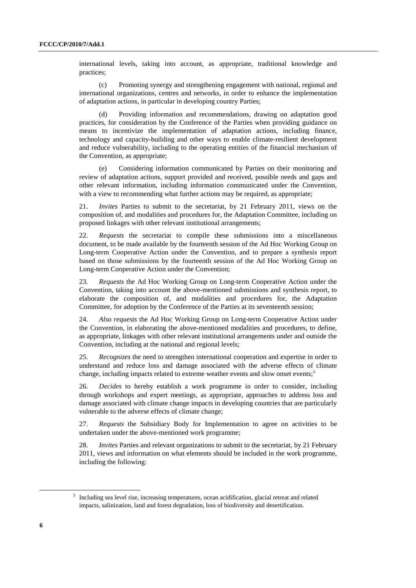international levels, taking into account, as appropriate, traditional knowledge and practices;

 (c) Promoting synergy and strengthening engagement with national, regional and international organizations, centres and networks, in order to enhance the implementation of adaptation actions, in particular in developing country Parties;

 (d) Providing information and recommendations, drawing on adaptation good practices, for consideration by the Conference of the Parties when providing guidance on means to incentivize the implementation of adaptation actions, including finance, technology and capacity-building and other ways to enable climate-resilient development and reduce vulnerability, including to the operating entities of the financial mechanism of the Convention, as appropriate;

 (e) Considering information communicated by Parties on their monitoring and review of adaptation actions, support provided and received, possible needs and gaps and other relevant information, including information communicated under the Convention, with a view to recommending what further actions may be required, as appropriate;

21. *Invites* Parties to submit to the secretariat, by 21 February 2011, views on the composition of, and modalities and procedures for, the Adaptation Committee, including on proposed linkages with other relevant institutional arrangements;

22. *Requests* the secretariat to compile these submissions into a miscellaneous document, to be made available by the fourteenth session of the Ad Hoc Working Group on Long-term Cooperative Action under the Convention, and to prepare a synthesis report based on those submissions by the fourteenth session of the Ad Hoc Working Group on Long-term Cooperative Action under the Convention;

23. *Requests* the Ad Hoc Working Group on Long-term Cooperative Action under the Convention, taking into account the above-mentioned submissions and synthesis report, to elaborate the composition of, and modalities and procedures for, the Adaptation Committee, for adoption by the Conference of the Parties at its seventeenth session;

24. *Also requests* the Ad Hoc Working Group on Long-term Cooperative Action under the Convention, in elaborating the above-mentioned modalities and procedures, to define, as appropriate, linkages with other relevant institutional arrangements under and outside the Convention, including at the national and regional levels;

25. *Recognizes* the need to strengthen international cooperation and expertise in order to understand and reduce loss and damage associated with the adverse effects of climate change, including impacts related to extreme weather events and slow onset events:<sup>3</sup>

26. *Decides* to hereby establish a work programme in order to consider, including through workshops and expert meetings, as appropriate, approaches to address loss and damage associated with climate change impacts in developing countries that are particularly vulnerable to the adverse effects of climate change;

27. *Requests* the Subsidiary Body for Implementation to agree on activities to be undertaken under the above-mentioned work programme;

28. *Invites* Parties and relevant organizations to submit to the secretariat, by 21 February 2011, views and information on what elements should be included in the work programme, including the following:

 <sup>3</sup> <sup>3</sup> Including sea level rise, increasing temperatures, ocean acidification, glacial retreat and related impacts, salinization, land and forest degradation, loss of biodiversity and desertification.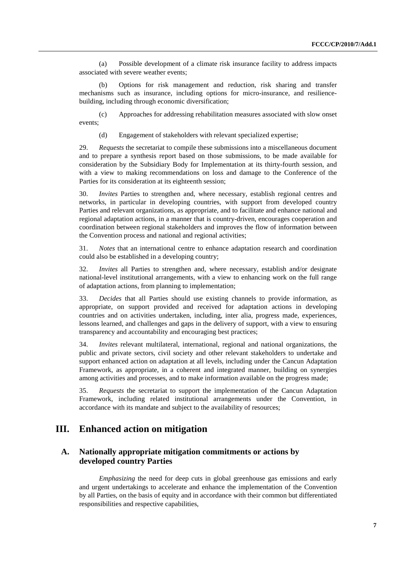(a) Possible development of a climate risk insurance facility to address impacts associated with severe weather events;

 (b) Options for risk management and reduction, risk sharing and transfer mechanisms such as insurance, including options for micro-insurance, and resiliencebuilding, including through economic diversification;

 (c) Approaches for addressing rehabilitation measures associated with slow onset events;

(d) Engagement of stakeholders with relevant specialized expertise;

29. *Requests* the secretariat to compile these submissions into a miscellaneous document and to prepare a synthesis report based on those submissions, to be made available for consideration by the Subsidiary Body for Implementation at its thirty-fourth session, and with a view to making recommendations on loss and damage to the Conference of the Parties for its consideration at its eighteenth session;

30. *Invites* Parties to strengthen and, where necessary, establish regional centres and networks, in particular in developing countries, with support from developed country Parties and relevant organizations, as appropriate, and to facilitate and enhance national and regional adaptation actions, in a manner that is country-driven, encourages cooperation and coordination between regional stakeholders and improves the flow of information between the Convention process and national and regional activities;

31. *Notes* that an international centre to enhance adaptation research and coordination could also be established in a developing country;

32. *Invites* all Parties to strengthen and, where necessary, establish and/or designate national-level institutional arrangements, with a view to enhancing work on the full range of adaptation actions, from planning to implementation;

33. *Decides* that all Parties should use existing channels to provide information, as appropriate, on support provided and received for adaptation actions in developing countries and on activities undertaken, including, inter alia, progress made, experiences, lessons learned, and challenges and gaps in the delivery of support, with a view to ensuring transparency and accountability and encouraging best practices;

34. *Invites* relevant multilateral, international, regional and national organizations, the public and private sectors, civil society and other relevant stakeholders to undertake and support enhanced action on adaptation at all levels, including under the Cancun Adaptation Framework, as appropriate, in a coherent and integrated manner, building on synergies among activities and processes, and to make information available on the progress made;

35. *Requests* the secretariat to support the implementation of the Cancun Adaptation Framework, including related institutional arrangements under the Convention, in accordance with its mandate and subject to the availability of resources;

### **III. Enhanced action on mitigation**

### **A. Nationally appropriate mitigation commitments or actions by developed country Parties**

*Emphasizing* the need for deep cuts in global greenhouse gas emissions and early and urgent undertakings to accelerate and enhance the implementation of the Convention by all Parties, on the basis of equity and in accordance with their common but differentiated responsibilities and respective capabilities,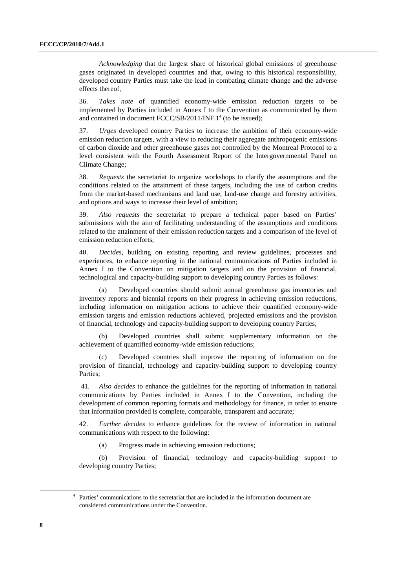*Acknowledging* that the largest share of historical global emissions of greenhouse gases originated in developed countries and that, owing to this historical responsibility, developed country Parties must take the lead in combating climate change and the adverse effects thereof,

36. *Takes note* of quantified economy-wide emission reduction targets to be implemented by Parties included in Annex I to the Convention as communicated by them and contained in document  $\text{FCCC}/\text{SB}/2011/\text{INF}.1^4$  (to be issued);

37. *Urges* developed country Parties to increase the ambition of their economy-wide emission reduction targets, with a view to reducing their aggregate anthropogenic emissions of carbon dioxide and other greenhouse gases not controlled by the Montreal Protocol to a level consistent with the Fourth Assessment Report of the Intergovernmental Panel on Climate Change;

38. *Requests* the secretariat to organize workshops to clarify the assumptions and the conditions related to the attainment of these targets, including the use of carbon credits from the market-based mechanisms and land use, land-use change and forestry activities, and options and ways to increase their level of ambition;

39. *Also requests* the secretariat to prepare a technical paper based on Parties' submissions with the aim of facilitating understanding of the assumptions and conditions related to the attainment of their emission reduction targets and a comparison of the level of emission reduction efforts;

40. *Decides*, building on existing reporting and review guidelines, processes and experiences, to enhance reporting in the national communications of Parties included in Annex I to the Convention on mitigation targets and on the provision of financial, technological and capacity-building support to developing country Parties as follows:

Developed countries should submit annual greenhouse gas inventories and inventory reports and biennial reports on their progress in achieving emission reductions, including information on mitigation actions to achieve their quantified economy-wide emission targets and emission reductions achieved, projected emissions and the provision of financial, technology and capacity-building support to developing country Parties;

 (b) Developed countries shall submit supplementary information on the achievement of quantified economy-wide emission reductions;

 (c) Developed countries shall improve the reporting of information on the provision of financial, technology and capacity-building support to developing country Parties;

41. *Also decides* to enhance the guidelines for the reporting of information in national communications by Parties included in Annex I to the Convention, including the development of common reporting formats and methodology for finance, in order to ensure that information provided is complete, comparable, transparent and accurate;

42. *Further decides* to enhance guidelines for the review of information in national communications with respect to the following:

(a) Progress made in achieving emission reductions;

 (b) Provision of financial, technology and capacity-building support to developing country Parties;

 <sup>4</sup> <sup>4</sup> Parties' communications to the secretariat that are included in the information document are considered communications under the Convention.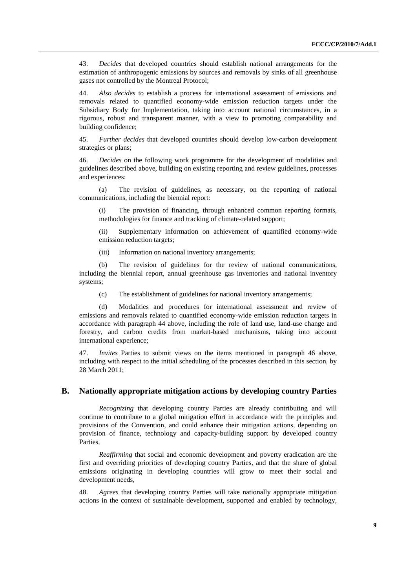43. *Decides* that developed countries should establish national arrangements for the estimation of anthropogenic emissions by sources and removals by sinks of all greenhouse gases not controlled by the Montreal Protocol;

44. *Also decides* to establish a process for international assessment of emissions and removals related to quantified economy-wide emission reduction targets under the Subsidiary Body for Implementation, taking into account national circumstances, in a rigorous, robust and transparent manner, with a view to promoting comparability and building confidence;

45. *Further decides* that developed countries should develop low-carbon development strategies or plans;

46. *Decides* on the following work programme for the development of modalities and guidelines described above, building on existing reporting and review guidelines, processes and experiences:

 (a) The revision of guidelines, as necessary, on the reporting of national communications, including the biennial report:

(i) The provision of financing, through enhanced common reporting formats, methodologies for finance and tracking of climate-related support;

(ii) Supplementary information on achievement of quantified economy-wide emission reduction targets;

(iii) Information on national inventory arrangements;

 (b) The revision of guidelines for the review of national communications, including the biennial report, annual greenhouse gas inventories and national inventory systems;

(c) The establishment of guidelines for national inventory arrangements;

 (d) Modalities and procedures for international assessment and review of emissions and removals related to quantified economy-wide emission reduction targets in accordance with paragraph 44 above, including the role of land use, land-use change and forestry, and carbon credits from market-based mechanisms, taking into account international experience;

47. *Invites* Parties to submit views on the items mentioned in paragraph 46 above, including with respect to the initial scheduling of the processes described in this section, by 28 March 2011;

#### **B. Nationally appropriate mitigation actions by developing country Parties**

*Recognizing* that developing country Parties are already contributing and will continue to contribute to a global mitigation effort in accordance with the principles and provisions of the Convention, and could enhance their mitigation actions, depending on provision of finance, technology and capacity-building support by developed country Parties,

*Reaffirming* that social and economic development and poverty eradication are the first and overriding priorities of developing country Parties, and that the share of global emissions originating in developing countries will grow to meet their social and development needs,

48. *Agrees* that developing country Parties will take nationally appropriate mitigation actions in the context of sustainable development, supported and enabled by technology,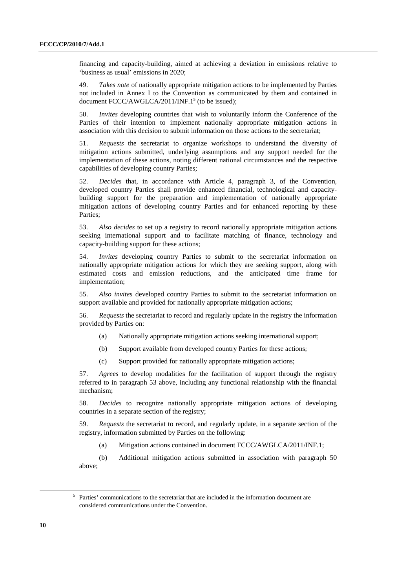financing and capacity-building, aimed at achieving a deviation in emissions relative to 'business as usual' emissions in 2020;

49. *Takes note* of nationally appropriate mitigation actions to be implemented by Parties not included in Annex I to the Convention as communicated by them and contained in document  $\text{FCCC}/\text{AWGLCA}/2011/\text{INF}.1^5$  (to be issued);

50. *Invites* developing countries that wish to voluntarily inform the Conference of the Parties of their intention to implement nationally appropriate mitigation actions in association with this decision to submit information on those actions to the secretariat;

51. *Requests* the secretariat to organize workshops to understand the diversity of mitigation actions submitted, underlying assumptions and any support needed for the implementation of these actions, noting different national circumstances and the respective capabilities of developing country Parties;

52. *Decides* that, in accordance with Article 4, paragraph 3, of the Convention, developed country Parties shall provide enhanced financial, technological and capacitybuilding support for the preparation and implementation of nationally appropriate mitigation actions of developing country Parties and for enhanced reporting by these Parties;

53. *Also decides* to set up a registry to record nationally appropriate mitigation actions seeking international support and to facilitate matching of finance, technology and capacity-building support for these actions;

54. *Invites* developing country Parties to submit to the secretariat information on nationally appropriate mitigation actions for which they are seeking support, along with estimated costs and emission reductions, and the anticipated time frame for implementation;

55. *Also invites* developed country Parties to submit to the secretariat information on support available and provided for nationally appropriate mitigation actions;

56. *Requests* the secretariat to record and regularly update in the registry the information provided by Parties on:

- (a) Nationally appropriate mitigation actions seeking international support;
- (b) Support available from developed country Parties for these actions;
- (c) Support provided for nationally appropriate mitigation actions;

57. *Agrees* to develop modalities for the facilitation of support through the registry referred to in paragraph 53 above, including any functional relationship with the financial mechanism;

58. *Decides* to recognize nationally appropriate mitigation actions of developing countries in a separate section of the registry;

59. *Requests* the secretariat to record, and regularly update, in a separate section of the registry, information submitted by Parties on the following:

(a) Mitigation actions contained in document FCCC/AWGLCA/2011/INF.1;

 (b) Additional mitigation actions submitted in association with paragraph 50 above;

 $\frac{1}{5}$ <sup>5</sup> Parties' communications to the secretariat that are included in the information document are considered communications under the Convention.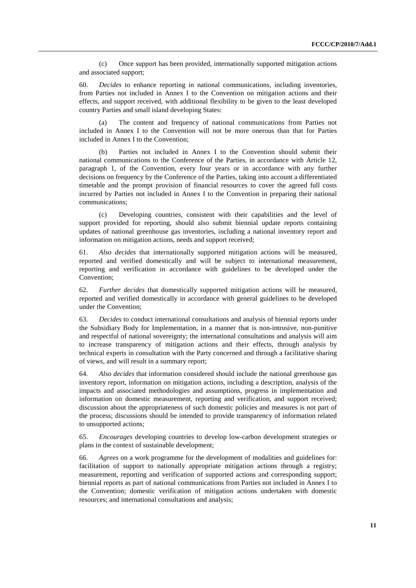(c) Once support has been provided, internationally supported mitigation actions and associated support;

60. *Decides* to enhance reporting in national communications, including inventories, from Parties not included in Annex I to the Convention on mitigation actions and their effects, and support received, with additional flexibility to be given to the least developed country Parties and small island developing States:

 (a) The content and frequency of national communications from Parties not included in Annex I to the Convention will not be more onerous than that for Parties included in Annex I to the Convention;

 (b) Parties not included in Annex I to the Convention should submit their national communications to the Conference of the Parties, in accordance with Article 12, paragraph 1, of the Convention, every four years or in accordance with any further decisions on frequency by the Conference of the Parties, taking into account a differentiated timetable and the prompt provision of financial resources to cover the agreed full costs incurred by Parties not included in Annex I to the Convention in preparing their national communications;

 (c) Developing countries, consistent with their capabilities and the level of support provided for reporting, should also submit biennial update reports containing updates of national greenhouse gas inventories, including a national inventory report and information on mitigation actions, needs and support received;

61. *Also decides* that internationally supported mitigation actions will be measured, reported and verified domestically and will be subject to international measurement, reporting and verification in accordance with guidelines to be developed under the Convention;

62. *Further decides* that domestically supported mitigation actions will be measured, reported and verified domestically in accordance with general guidelines to be developed under the Convention;

63. *Decides* to conduct international consultations and analysis of biennial reports under the Subsidiary Body for Implementation, in a manner that is non-intrusive, non-punitive and respectful of national sovereignty; the international consultations and analysis will aim to increase transparency of mitigation actions and their effects, through analysis by technical experts in consultation with the Party concerned and through a facilitative sharing of views, and will result in a summary report;

64. *Also decides* that information considered should include the national greenhouse gas inventory report, information on mitigation actions, including a description, analysis of the impacts and associated methodologies and assumptions, progress in implementation and information on domestic measurement, reporting and verification, and support received; discussion about the appropriateness of such domestic policies and measures is not part of the process; discussions should be intended to provide transparency of information related to unsupported actions;

65. *Encourages* developing countries to develop low-carbon development strategies or plans in the context of sustainable development;

66. *Agrees* on a work programme for the development of modalities and guidelines for: facilitation of support to nationally appropriate mitigation actions through a registry; measurement, reporting and verification of supported actions and corresponding support; biennial reports as part of national communications from Parties not included in Annex I to the Convention; domestic verification of mitigation actions undertaken with domestic resources; and international consultations and analysis;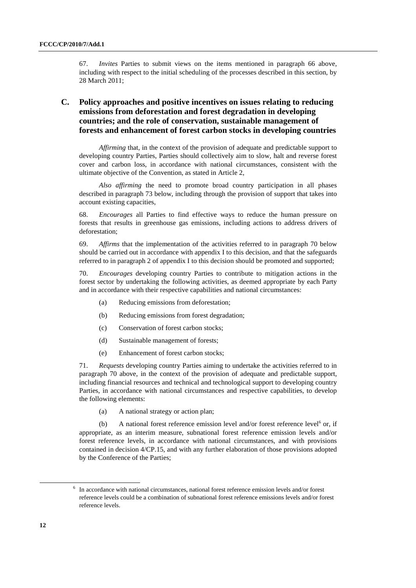67. *Invites* Parties to submit views on the items mentioned in paragraph 66 above, including with respect to the initial scheduling of the processes described in this section, by 28 March 2011;

### **C. Policy approaches and positive incentives on issues relating to reducing emissions from deforestation and forest degradation in developing countries; and the role of conservation, sustainable management of forests and enhancement of forest carbon stocks in developing countries**

 *Affirming* that, in the context of the provision of adequate and predictable support to developing country Parties, Parties should collectively aim to slow, halt and reverse forest cover and carbon loss, in accordance with national circumstances, consistent with the ultimate objective of the Convention, as stated in Article 2,

 *Also affirming* the need to promote broad country participation in all phases described in paragraph 73 below, including through the provision of support that takes into account existing capacities,

68. *Encourages* all Parties to find effective ways to reduce the human pressure on forests that results in greenhouse gas emissions, including actions to address drivers of deforestation;

69. *Affirms* that the implementation of the activities referred to in paragraph 70 below should be carried out in accordance with appendix I to this decision, and that the safeguards referred to in paragraph 2 of appendix I to this decision should be promoted and supported;

70. *Encourages* developing country Parties to contribute to mitigation actions in the forest sector by undertaking the following activities, as deemed appropriate by each Party and in accordance with their respective capabilities and national circumstances:

- (a) Reducing emissions from deforestation;
- (b) Reducing emissions from forest degradation;
- (c) Conservation of forest carbon stocks;
- (d) Sustainable management of forests;
- (e) Enhancement of forest carbon stocks;

71. *Requests* developing country Parties aiming to undertake the activities referred to in paragraph 70 above, in the context of the provision of adequate and predictable support, including financial resources and technical and technological support to developing country Parties, in accordance with national circumstances and respective capabilities, to develop the following elements:

(a) A national strategy or action plan;

(b) A national forest reference emission level and/or forest reference level<sup>6</sup> or, if appropriate, as an interim measure, subnational forest reference emission levels and/or forest reference levels, in accordance with national circumstances, and with provisions contained in decision 4/CP.15, and with any further elaboration of those provisions adopted by the Conference of the Parties;

 $\overline{\phantom{0}}$  $<sup>6</sup>$  In accordance with national circumstances, national forest reference emission levels and/or forest</sup> reference levels could be a combination of subnational forest reference emissions levels and/or forest reference levels.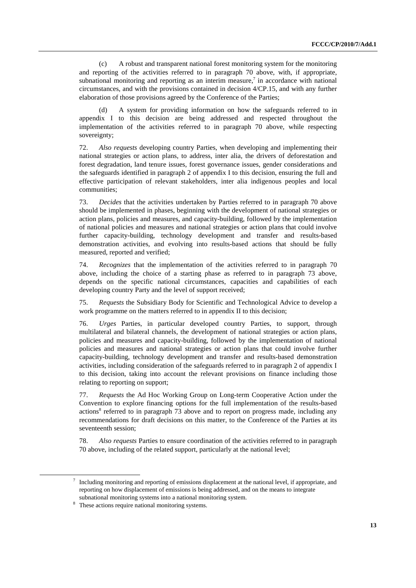(c) A robust and transparent national forest monitoring system for the monitoring and reporting of the activities referred to in paragraph 70 above, with, if appropriate, subnational monitoring and reporting as an interim measure, $\lambda$  in accordance with national circumstances, and with the provisions contained in decision 4/CP.15, and with any further elaboration of those provisions agreed by the Conference of the Parties;

 (d) A system for providing information on how the safeguards referred to in appendix I to this decision are being addressed and respected throughout the implementation of the activities referred to in paragraph 70 above, while respecting sovereignty;

72. *Also requests* developing country Parties, when developing and implementing their national strategies or action plans, to address, inter alia, the drivers of deforestation and forest degradation, land tenure issues, forest governance issues, gender considerations and the safeguards identified in paragraph 2 of appendix I to this decision, ensuring the full and effective participation of relevant stakeholders, inter alia indigenous peoples and local communities;

73. *Decides* that the activities undertaken by Parties referred to in paragraph 70 above should be implemented in phases, beginning with the development of national strategies or action plans, policies and measures, and capacity-building, followed by the implementation of national policies and measures and national strategies or action plans that could involve further capacity-building, technology development and transfer and results-based demonstration activities, and evolving into results-based actions that should be fully measured, reported and verified;

74. *Recognizes* that the implementation of the activities referred to in paragraph 70 above, including the choice of a starting phase as referred to in paragraph 73 above, depends on the specific national circumstances, capacities and capabilities of each developing country Party and the level of support received:

75. *Requests* the Subsidiary Body for Scientific and Technological Advice to develop a work programme on the matters referred to in appendix II to this decision;

76. *Urges* Parties, in particular developed country Parties, to support, through multilateral and bilateral channels, the development of national strategies or action plans, policies and measures and capacity-building, followed by the implementation of national policies and measures and national strategies or action plans that could involve further capacity-building, technology development and transfer and results-based demonstration activities, including consideration of the safeguards referred to in paragraph 2 of appendix I to this decision, taking into account the relevant provisions on finance including those relating to reporting on support;

77. *Requests* the Ad Hoc Working Group on Long-term Cooperative Action under the Convention to explore financing options for the full implementation of the results-based actions<sup>8</sup> referred to in paragraph 73 above and to report on progress made, including any recommendations for draft decisions on this matter, to the Conference of the Parties at its seventeenth session;

78. *Also requests* Parties to ensure coordination of the activities referred to in paragraph 70 above, including of the related support, particularly at the national level;

 <sup>7</sup>  $\frac{7}{10}$  Including monitoring and reporting of emissions displacement at the national level, if appropriate, and reporting on how displacement of emissions is being addressed, and on the means to integrate subnational monitoring systems into a national monitoring system.

<sup>&</sup>lt;sup>8</sup> These actions require national monitoring systems.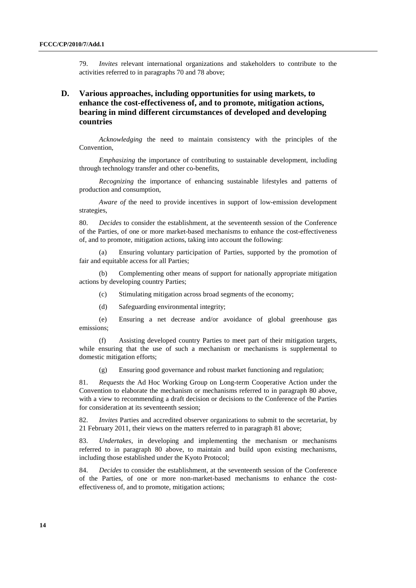79. *Invites* relevant international organizations and stakeholders to contribute to the activities referred to in paragraphs 70 and 78 above;

### **D. Various approaches, including opportunities for using markets, to enhance the cost-effectiveness of, and to promote, mitigation actions, bearing in mind different circumstances of developed and developing countries**

*Acknowledging* the need to maintain consistency with the principles of the Convention,

 *Emphasizing* the importance of contributing to sustainable development, including through technology transfer and other co-benefits,

 *Recognizing* the importance of enhancing sustainable lifestyles and patterns of production and consumption,

*Aware of the need to provide incentives in support of low-emission development* strategies,

80. *Decides* to consider the establishment, at the seventeenth session of the Conference of the Parties, of one or more market-based mechanisms to enhance the cost-effectiveness of, and to promote, mitigation actions, taking into account the following:

 (a) Ensuring voluntary participation of Parties, supported by the promotion of fair and equitable access for all Parties:

 (b) Complementing other means of support for nationally appropriate mitigation actions by developing country Parties;

(c) Stimulating mitigation across broad segments of the economy;

(d) Safeguarding environmental integrity;

 (e) Ensuring a net decrease and/or avoidance of global greenhouse gas emissions;

 (f) Assisting developed country Parties to meet part of their mitigation targets, while ensuring that the use of such a mechanism or mechanisms is supplemental to domestic mitigation efforts;

(g) Ensuring good governance and robust market functioning and regulation;

81. *Requests* the Ad Hoc Working Group on Long-term Cooperative Action under the Convention to elaborate the mechanism or mechanisms referred to in paragraph 80 above, with a view to recommending a draft decision or decisions to the Conference of the Parties for consideration at its seventeenth session;

82. *Invites* Parties and accredited observer organizations to submit to the secretariat, by 21 February 2011, their views on the matters referred to in paragraph 81 above;

83. *Undertakes*, in developing and implementing the mechanism or mechanisms referred to in paragraph 80 above, to maintain and build upon existing mechanisms, including those established under the Kyoto Protocol;

84. *Decides* to consider the establishment, at the seventeenth session of the Conference of the Parties, of one or more non-market-based mechanisms to enhance the costeffectiveness of, and to promote, mitigation actions;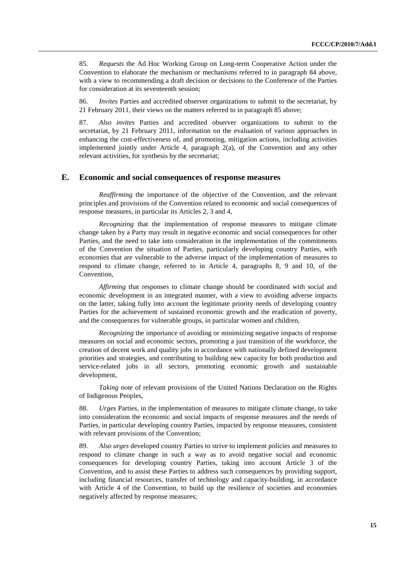85. *Requests* the Ad Hoc Working Group on Long-term Cooperative Action under the Convention to elaborate the mechanism or mechanisms referred to in paragraph 84 above, with a view to recommending a draft decision or decisions to the Conference of the Parties for consideration at its seventeenth session;

86. *Invites* Parties and accredited observer organizations to submit to the secretariat, by 21 February 2011, their views on the matters referred to in paragraph 85 above;

87. *Also invites* Parties and accredited observer organizations to submit to the secretariat, by 21 February 2011, information on the evaluation of various approaches in enhancing the cost-effectiveness of, and promoting, mitigation actions, including activities implemented jointly under Article 4, paragraph 2(a), of the Convention and any other relevant activities, for synthesis by the secretariat;

#### **E. Economic and social consequences of response measures**

 *Reaffirming* the importance of the objective of the Convention, and the relevant principles and provisions of the Convention related to economic and social consequences of response measures, in particular its Articles 2, 3 and 4,

*Recognizing* that the implementation of response measures to mitigate climate change taken by a Party may result in negative economic and social consequences for other Parties, and the need to take into consideration in the implementation of the commitments of the Convention the situation of Parties, particularly developing country Parties, with economies that are vulnerable to the adverse impact of the implementation of measures to respond to climate change, referred to in Article 4, paragraphs 8, 9 and 10, of the Convention,

*Affirming* that responses to climate change should be coordinated with social and economic development in an integrated manner, with a view to avoiding adverse impacts on the latter, taking fully into account the legitimate priority needs of developing country Parties for the achievement of sustained economic growth and the eradication of poverty, and the consequences for vulnerable groups, in particular women and children,

*Recognizing* the importance of avoiding or minimizing negative impacts of response measures on social and economic sectors, promoting a just transition of the workforce, the creation of decent work and quality jobs in accordance with nationally defined development priorities and strategies, and contributing to building new capacity for both production and service-related jobs in all sectors, promoting economic growth and sustainable development,

*Taking note* of relevant provisions of the United Nations Declaration on the Rights of Indigenous Peoples,

88. *Urges* Parties, in the implementation of measures to mitigate climate change, to take into consideration the economic and social impacts of response measures and the needs of Parties, in particular developing country Parties, impacted by response measures, consistent with relevant provisions of the Convention;

89. *Also urges* developed country Parties to strive to implement policies and measures to respond to climate change in such a way as to avoid negative social and economic consequences for developing country Parties, taking into account Article 3 of the Convention, and to assist these Parties to address such consequences by providing support, including financial resources, transfer of technology and capacity-building, in accordance with Article 4 of the Convention, to build up the resilience of societies and economies negatively affected by response measures;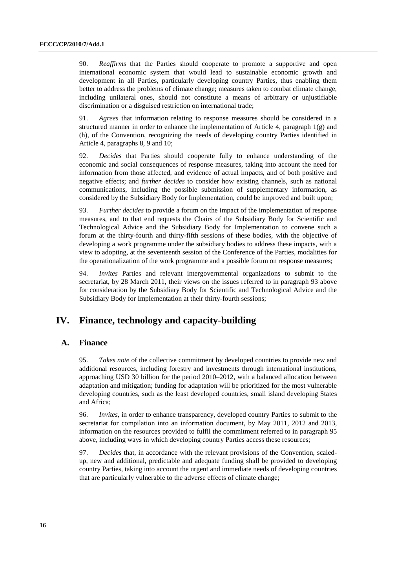90. *Reaffirms* that the Parties should cooperate to promote a supportive and open international economic system that would lead to sustainable economic growth and development in all Parties, particularly developing country Parties, thus enabling them better to address the problems of climate change; measures taken to combat climate change, including unilateral ones, should not constitute a means of arbitrary or unjustifiable discrimination or a disguised restriction on international trade;

91. *Agrees* that information relating to response measures should be considered in a structured manner in order to enhance the implementation of Article 4, paragraph  $1(g)$  and (h), of the Convention, recognizing the needs of developing country Parties identified in Article 4, paragraphs 8, 9 and 10;

92. *Decides* that Parties should cooperate fully to enhance understanding of the economic and social consequences of response measures, taking into account the need for information from those affected, and evidence of actual impacts, and of both positive and negative effects; and *further decides* to consider how existing channels, such as national communications, including the possible submission of supplementary information, as considered by the Subsidiary Body for Implementation, could be improved and built upon;

93. *Further decides* to provide a forum on the impact of the implementation of response measures, and to that end requests the Chairs of the Subsidiary Body for Scientific and Technological Advice and the Subsidiary Body for Implementation to convene such a forum at the thirty-fourth and thirty-fifth sessions of these bodies, with the objective of developing a work programme under the subsidiary bodies to address these impacts, with a view to adopting, at the seventeenth session of the Conference of the Parties, modalities for the operationalization of the work programme and a possible forum on response measures;

94. *Invites* Parties and relevant intergovernmental organizations to submit to the secretariat, by 28 March 2011, their views on the issues referred to in paragraph 93 above for consideration by the Subsidiary Body for Scientific and Technological Advice and the Subsidiary Body for Implementation at their thirty-fourth sessions;

# **IV. Finance, technology and capacity-building**

#### **A. Finance**

95. *Takes note* of the collective commitment by developed countries to provide new and additional resources, including forestry and investments through international institutions, approaching USD 30 billion for the period 2010–2012, with a balanced allocation between adaptation and mitigation; funding for adaptation will be prioritized for the most vulnerable developing countries, such as the least developed countries, small island developing States and Africa;

96. *Invites*, in order to enhance transparency, developed country Parties to submit to the secretariat for compilation into an information document, by May 2011, 2012 and 2013, information on the resources provided to fulfil the commitment referred to in paragraph 95 above, including ways in which developing country Parties access these resources;

97. *Decides* that, in accordance with the relevant provisions of the Convention, scaledup, new and additional, predictable and adequate funding shall be provided to developing country Parties, taking into account the urgent and immediate needs of developing countries that are particularly vulnerable to the adverse effects of climate change;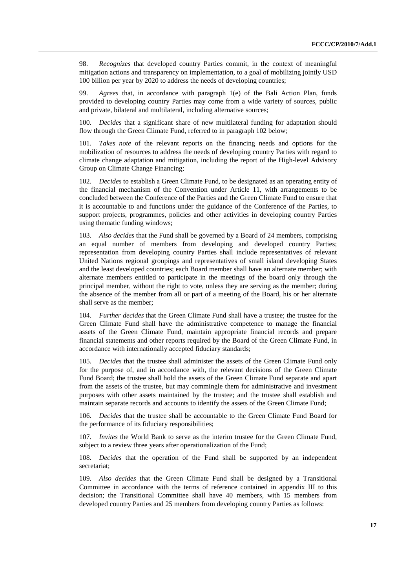98. *Recognizes* that developed country Parties commit, in the context of meaningful mitigation actions and transparency on implementation, to a goal of mobilizing jointly USD 100 billion per year by 2020 to address the needs of developing countries;

99. *Agrees* that, in accordance with paragraph 1(e) of the Bali Action Plan, funds provided to developing country Parties may come from a wide variety of sources, public and private, bilateral and multilateral, including alternative sources;

100. *Decides* that a significant share of new multilateral funding for adaptation should flow through the Green Climate Fund, referred to in paragraph 102 below;

101. *Takes note* of the relevant reports on the financing needs and options for the mobilization of resources to address the needs of developing country Parties with regard to climate change adaptation and mitigation, including the report of the High-level Advisory Group on Climate Change Financing;

102. *Decides* to establish a Green Climate Fund, to be designated as an operating entity of the financial mechanism of the Convention under Article 11, with arrangements to be concluded between the Conference of the Parties and the Green Climate Fund to ensure that it is accountable to and functions under the guidance of the Conference of the Parties, to support projects, programmes, policies and other activities in developing country Parties using thematic funding windows;

103. *Also decides* that the Fund shall be governed by a Board of 24 members, comprising an equal number of members from developing and developed country Parties; representation from developing country Parties shall include representatives of relevant United Nations regional groupings and representatives of small island developing States and the least developed countries; each Board member shall have an alternate member; with alternate members entitled to participate in the meetings of the board only through the principal member, without the right to vote, unless they are serving as the member; during the absence of the member from all or part of a meeting of the Board, his or her alternate shall serve as the member;

104. *Further decides* that the Green Climate Fund shall have a trustee; the trustee for the Green Climate Fund shall have the administrative competence to manage the financial assets of the Green Climate Fund, maintain appropriate financial records and prepare financial statements and other reports required by the Board of the Green Climate Fund, in accordance with internationally accepted fiduciary standards;

105. *Decides* that the trustee shall administer the assets of the Green Climate Fund only for the purpose of, and in accordance with, the relevant decisions of the Green Climate Fund Board; the trustee shall hold the assets of the Green Climate Fund separate and apart from the assets of the trustee, but may commingle them for administrative and investment purposes with other assets maintained by the trustee; and the trustee shall establish and maintain separate records and accounts to identify the assets of the Green Climate Fund;

106. *Decides* that the trustee shall be accountable to the Green Climate Fund Board for the performance of its fiduciary responsibilities;

107. *Invites* the World Bank to serve as the interim trustee for the Green Climate Fund, subject to a review three years after operationalization of the Fund;

108. *Decides* that the operation of the Fund shall be supported by an independent secretariat;

109. *Also decides* that the Green Climate Fund shall be designed by a Transitional Committee in accordance with the terms of reference contained in appendix III to this decision; the Transitional Committee shall have 40 members, with 15 members from developed country Parties and 25 members from developing country Parties as follows: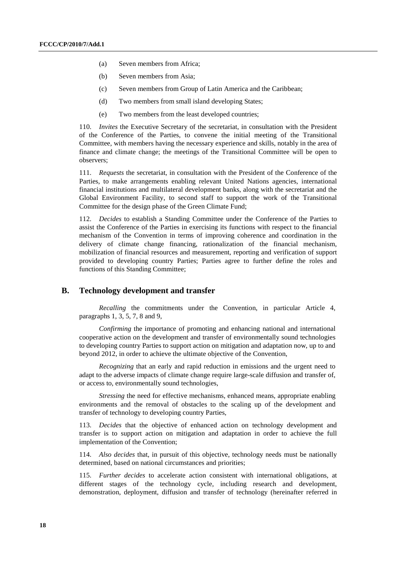- (a) Seven members from Africa;
- (b) Seven members from Asia;
- (c) Seven members from Group of Latin America and the Caribbean;
- (d) Two members from small island developing States;
- (e) Two members from the least developed countries;

110. *Invites* the Executive Secretary of the secretariat, in consultation with the President of the Conference of the Parties, to convene the initial meeting of the Transitional Committee, with members having the necessary experience and skills, notably in the area of finance and climate change; the meetings of the Transitional Committee will be open to observers;

111. *Requests* the secretariat, in consultation with the President of the Conference of the Parties, to make arrangements enabling relevant United Nations agencies, international financial institutions and multilateral development banks, along with the secretariat and the Global Environment Facility, to second staff to support the work of the Transitional Committee for the design phase of the Green Climate Fund;

112. *Decides* to establish a Standing Committee under the Conference of the Parties to assist the Conference of the Parties in exercising its functions with respect to the financial mechanism of the Convention in terms of improving coherence and coordination in the delivery of climate change financing, rationalization of the financial mechanism, mobilization of financial resources and measurement, reporting and verification of support provided to developing country Parties; Parties agree to further define the roles and functions of this Standing Committee;

### **B. Technology development and transfer**

*Recalling* the commitments under the Convention, in particular Article 4, paragraphs 1, 3, 5, 7, 8 and 9,

*Confirming* the importance of promoting and enhancing national and international cooperative action on the development and transfer of environmentally sound technologies to developing country Parties to support action on mitigation and adaptation now, up to and beyond 2012, in order to achieve the ultimate objective of the Convention,

*Recognizing* that an early and rapid reduction in emissions and the urgent need to adapt to the adverse impacts of climate change require large-scale diffusion and transfer of, or access to, environmentally sound technologies,

*Stressing* the need for effective mechanisms, enhanced means, appropriate enabling environments and the removal of obstacles to the scaling up of the development and transfer of technology to developing country Parties,

113. *Decides* that the objective of enhanced action on technology development and transfer is to support action on mitigation and adaptation in order to achieve the full implementation of the Convention;

114. *Also decides* that, in pursuit of this objective, technology needs must be nationally determined, based on national circumstances and priorities;

115. *Further decides* to accelerate action consistent with international obligations, at different stages of the technology cycle, including research and development, demonstration, deployment, diffusion and transfer of technology (hereinafter referred in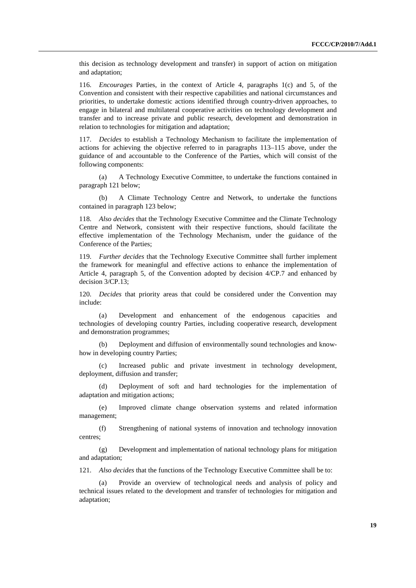this decision as technology development and transfer) in support of action on mitigation and adaptation;

116. *Encourages* Parties, in the context of Article 4, paragraphs 1(c) and 5, of the Convention and consistent with their respective capabilities and national circumstances and priorities, to undertake domestic actions identified through country-driven approaches, to engage in bilateral and multilateral cooperative activities on technology development and transfer and to increase private and public research, development and demonstration in relation to technologies for mitigation and adaptation;

117. *Decides* to establish a Technology Mechanism to facilitate the implementation of actions for achieving the objective referred to in paragraphs 113–115 above, under the guidance of and accountable to the Conference of the Parties, which will consist of the following components:

 (a) A Technology Executive Committee, to undertake the functions contained in paragraph 121 below;

 (b) A Climate Technology Centre and Network, to undertake the functions contained in paragraph 123 below;

118. *Also decides* that the Technology Executive Committee and the Climate Technology Centre and Network, consistent with their respective functions, should facilitate the effective implementation of the Technology Mechanism, under the guidance of the Conference of the Parties;

119. *Further decides* that the Technology Executive Committee shall further implement the framework for meaningful and effective actions to enhance the implementation of Article 4, paragraph 5, of the Convention adopted by decision 4/CP.7 and enhanced by decision 3/CP.13;

120. *Decides* that priority areas that could be considered under the Convention may include:

 (a) Development and enhancement of the endogenous capacities and technologies of developing country Parties, including cooperative research, development and demonstration programmes;

 (b) Deployment and diffusion of environmentally sound technologies and knowhow in developing country Parties;

 (c) Increased public and private investment in technology development, deployment, diffusion and transfer;

 (d) Deployment of soft and hard technologies for the implementation of adaptation and mitigation actions;

 (e) Improved climate change observation systems and related information management;

 (f) Strengthening of national systems of innovation and technology innovation centres;

 (g) Development and implementation of national technology plans for mitigation and adaptation;

121. *Also decides* that the functions of the Technology Executive Committee shall be to:

 (a) Provide an overview of technological needs and analysis of policy and technical issues related to the development and transfer of technologies for mitigation and adaptation;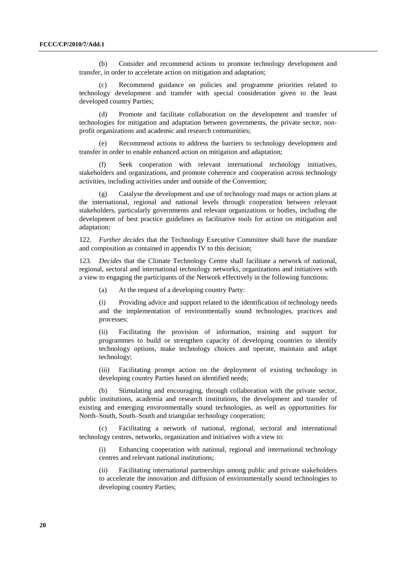(b) Consider and recommend actions to promote technology development and transfer, in order to accelerate action on mitigation and adaptation;

 (c) Recommend guidance on policies and programme priorities related to technology development and transfer with special consideration given to the least developed country Parties;

 (d) Promote and facilitate collaboration on the development and transfer of technologies for mitigation and adaptation between governments, the private sector, nonprofit organizations and academic and research communities;

 (e) Recommend actions to address the barriers to technology development and transfer in order to enable enhanced action on mitigation and adaptation;

 (f) Seek cooperation with relevant international technology initiatives, stakeholders and organizations, and promote coherence and cooperation across technology activities, including activities under and outside of the Convention;

 (g) Catalyse the development and use of technology road maps or action plans at the international, regional and national levels through cooperation between relevant stakeholders, particularly governments and relevant organizations or bodies, including the development of best practice guidelines as facilitative tools for action on mitigation and adaptation;

122. *Further decides* that the Technology Executive Committee shall have the mandate and composition as contained in appendix IV to this decision;

123. *Decides* that the Climate Technology Centre shall facilitate a network of national, regional, sectoral and international technology networks, organizations and initiatives with a view to engaging the participants of the Network effectively in the following functions:

(a) At the request of a developing country Party:

(i) Providing advice and support related to the identification of technology needs and the implementation of environmentally sound technologies, practices and processes;

(ii) Facilitating the provision of information, training and support for programmes to build or strengthen capacity of developing countries to identify technology options, make technology choices and operate, maintain and adapt technology;

(iii) Facilitating prompt action on the deployment of existing technology in developing country Parties based on identified needs;

 (b) Stimulating and encouraging, through collaboration with the private sector, public institutions, academia and research institutions, the development and transfer of existing and emerging environmentally sound technologies, as well as opportunities for North–South, South–South and triangular technology cooperation;

 (c) Facilitating a network of national, regional, sectoral and international technology centres, networks, organization and initiatives with a view to:

(i) Enhancing cooperation with national, regional and international technology centres and relevant national institutions;

(ii) Facilitating international partnerships among public and private stakeholders to accelerate the innovation and diffusion of environmentally sound technologies to developing country Parties;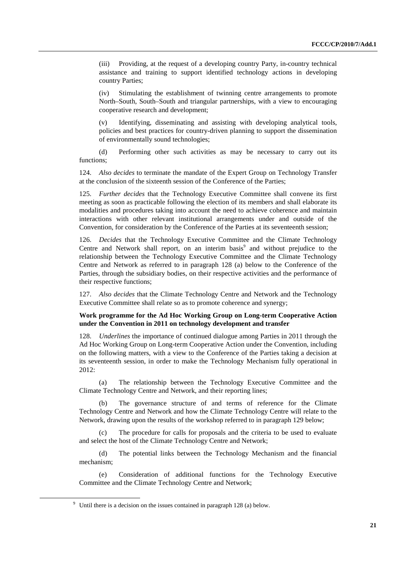(iii) Providing, at the request of a developing country Party, in-country technical assistance and training to support identified technology actions in developing country Parties;

(iv) Stimulating the establishment of twinning centre arrangements to promote North–South, South–South and triangular partnerships, with a view to encouraging cooperative research and development;

(v) Identifying, disseminating and assisting with developing analytical tools, policies and best practices for country-driven planning to support the dissemination of environmentally sound technologies;

 (d) Performing other such activities as may be necessary to carry out its functions;

124. *Also decides* to terminate the mandate of the Expert Group on Technology Transfer at the conclusion of the sixteenth session of the Conference of the Parties;

125. *Further decides* that the Technology Executive Committee shall convene its first meeting as soon as practicable following the election of its members and shall elaborate its modalities and procedures taking into account the need to achieve coherence and maintain interactions with other relevant institutional arrangements under and outside of the Convention, for consideration by the Conference of the Parties at its seventeenth session;

126. *Decides* that the Technology Executive Committee and the Climate Technology Centre and Network shall report, on an interim basis<sup>9</sup> and without prejudice to the relationship between the Technology Executive Committee and the Climate Technology Centre and Network as referred to in paragraph 128 (a) below to the Conference of the Parties, through the subsidiary bodies, on their respective activities and the performance of their respective functions;

127. *Also decides* that the Climate Technology Centre and Network and the Technology Executive Committee shall relate so as to promote coherence and synergy;

#### **Work programme for the Ad Hoc Working Group on Long-term Cooperative Action under the Convention in 2011 on technology development and transfer**

128. *Underlines* the importance of continued dialogue among Parties in 2011 through the Ad Hoc Working Group on Long-term Cooperative Action under the Convention, including on the following matters, with a view to the Conference of the Parties taking a decision at its seventeenth session, in order to make the Technology Mechanism fully operational in 2012:

 (a) The relationship between the Technology Executive Committee and the Climate Technology Centre and Network, and their reporting lines;

The governance structure of and terms of reference for the Climate Technology Centre and Network and how the Climate Technology Centre will relate to the Network, drawing upon the results of the workshop referred to in paragraph 129 below;

The procedure for calls for proposals and the criteria to be used to evaluate and select the host of the Climate Technology Centre and Network;

 (d) The potential links between the Technology Mechanism and the financial mechanism;

 (e) Consideration of additional functions for the Technology Executive Committee and the Climate Technology Centre and Network;

 <sup>9</sup>  $9$  Until there is a decision on the issues contained in paragraph 128 (a) below.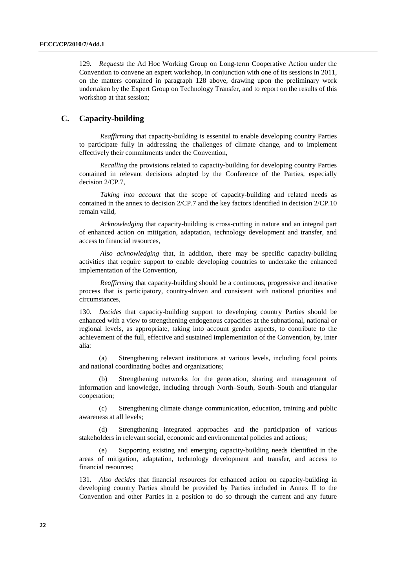129. *Requests* the Ad Hoc Working Group on Long-term Cooperative Action under the Convention to convene an expert workshop, in conjunction with one of its sessions in 2011, on the matters contained in paragraph 128 above, drawing upon the preliminary work undertaken by the Expert Group on Technology Transfer, and to report on the results of this workshop at that session;

### **C. Capacity-building**

*Reaffirming* that capacity-building is essential to enable developing country Parties to participate fully in addressing the challenges of climate change, and to implement effectively their commitments under the Convention,

*Recalling* the provisions related to capacity-building for developing country Parties contained in relevant decisions adopted by the Conference of the Parties, especially decision 2/CP.7,

*Taking into account* that the scope of capacity-building and related needs as contained in the annex to decision 2/CP.7 and the key factors identified in decision 2/CP.10 remain valid,

*Acknowledging* that capacity-building is cross-cutting in nature and an integral part of enhanced action on mitigation, adaptation, technology development and transfer, and access to financial resources,

*Also acknowledging* that, in addition, there may be specific capacity-building activities that require support to enable developing countries to undertake the enhanced implementation of the Convention,

*Reaffirming* that capacity-building should be a continuous, progressive and iterative process that is participatory, country-driven and consistent with national priorities and circumstances,

130. *Decides* that capacity-building support to developing country Parties should be enhanced with a view to strengthening endogenous capacities at the subnational, national or regional levels, as appropriate, taking into account gender aspects, to contribute to the achievement of the full, effective and sustained implementation of the Convention, by, inter alia:

 (a) Strengthening relevant institutions at various levels, including focal points and national coordinating bodies and organizations;

 (b) Strengthening networks for the generation, sharing and management of information and knowledge, including through North–South, South–South and triangular cooperation;

 (c) Strengthening climate change communication, education, training and public awareness at all levels;

 (d) Strengthening integrated approaches and the participation of various stakeholders in relevant social, economic and environmental policies and actions;

Supporting existing and emerging capacity-building needs identified in the areas of mitigation, adaptation, technology development and transfer, and access to financial resources;

131. *Also decides* that financial resources for enhanced action on capacity-building in developing country Parties should be provided by Parties included in Annex II to the Convention and other Parties in a position to do so through the current and any future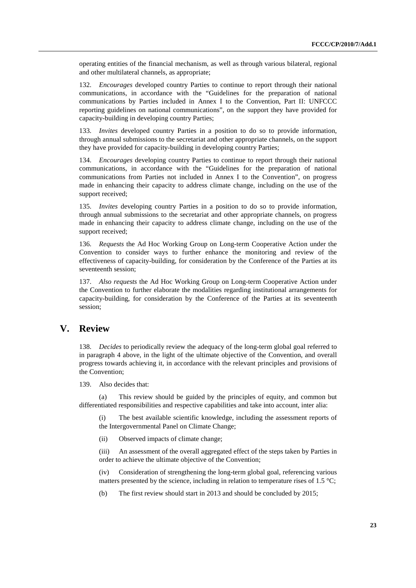operating entities of the financial mechanism, as well as through various bilateral, regional and other multilateral channels, as appropriate;

132. *Encourages* developed country Parties to continue to report through their national communications, in accordance with the "Guidelines for the preparation of national communications by Parties included in Annex I to the Convention, Part II: UNFCCC reporting guidelines on national communications", on the support they have provided for capacity-building in developing country Parties;

133. *Invites* developed country Parties in a position to do so to provide information, through annual submissions to the secretariat and other appropriate channels, on the support they have provided for capacity-building in developing country Parties;

134. *Encourages* developing country Parties to continue to report through their national communications, in accordance with the "Guidelines for the preparation of national communications from Parties not included in Annex I to the Convention", on progress made in enhancing their capacity to address climate change, including on the use of the support received;

135. *Invites* developing country Parties in a position to do so to provide information, through annual submissions to the secretariat and other appropriate channels, on progress made in enhancing their capacity to address climate change, including on the use of the support received;

136. *Requests* the Ad Hoc Working Group on Long-term Cooperative Action under the Convention to consider ways to further enhance the monitoring and review of the effectiveness of capacity-building, for consideration by the Conference of the Parties at its seventeenth session;

137. *Also requests* the Ad Hoc Working Group on Long-term Cooperative Action under the Convention to further elaborate the modalities regarding institutional arrangements for capacity-building, for consideration by the Conference of the Parties at its seventeenth session;

## **V. Review**

138. *Decides* to periodically review the adequacy of the long-term global goal referred to in paragraph 4 above, in the light of the ultimate objective of the Convention, and overall progress towards achieving it, in accordance with the relevant principles and provisions of the Convention;

139. Also decides that:

 (a) This review should be guided by the principles of equity, and common but differentiated responsibilities and respective capabilities and take into account, inter alia:

(i) The best available scientific knowledge, including the assessment reports of the Intergovernmental Panel on Climate Change;

(ii) Observed impacts of climate change;

(iii) An assessment of the overall aggregated effect of the steps taken by Parties in order to achieve the ultimate objective of the Convention;

(iv) Consideration of strengthening the long-term global goal, referencing various matters presented by the science, including in relation to temperature rises of 1.5  $^{\circ}C$ ;

(b) The first review should start in 2013 and should be concluded by 2015;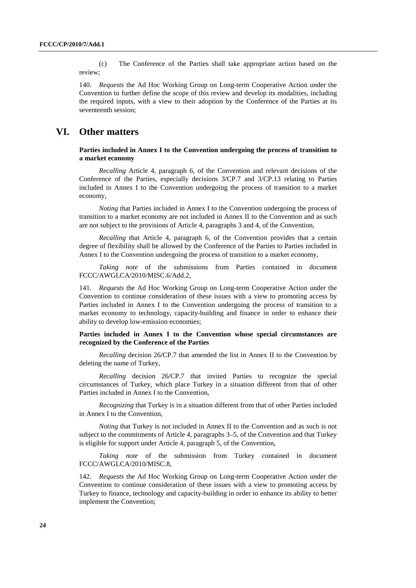(c) The Conference of the Parties shall take appropriate action based on the review;

140. *Requests* the Ad Hoc Working Group on Long-term Cooperative Action under the Convention to further define the scope of this review and develop its modalities, including the required inputs, with a view to their adoption by the Conference of the Parties at its seventeenth session;

### **VI. Other matters**

**Parties included in Annex I to the Convention undergoing the process of transition to a market economy** 

*Recalling* Article 4, paragraph 6, of the Convention and relevant decisions of the Conference of the Parties, especially decisions 3/CP.7 and 3/CP.13 relating to Parties included in Annex I to the Convention undergoing the process of transition to a market economy,

*Noting* that Parties included in Annex I to the Convention undergoing the process of transition to a market economy are not included in Annex II to the Convention and as such are not subject to the provisions of Article 4, paragraphs 3 and 4, of the Convention,

*Recalling* that Article 4, paragraph 6, of the Convention provides that a certain degree of flexibility shall be allowed by the Conference of the Parties to Parties included in Annex I to the Convention undergoing the process of transition to a market economy,

*Taking note* of the submissions from Parties contained in document FCCC/AWGLCA/2010/MISC.6/Add.2,

141. *Requests* the Ad Hoc Working Group on Long-term Cooperative Action under the Convention to continue consideration of these issues with a view to promoting access by Parties included in Annex I to the Convention undergoing the process of transition to a market economy to technology, capacity-building and finance in order to enhance their ability to develop low-emission economies;

#### **Parties included in Annex I to the Convention whose special circumstances are recognized by the Conference of the Parties**

*Recalling* decision 26/CP.7 that amended the list in Annex II to the Convention by deleting the name of Turkey,

*Recalling* decision 26/CP.7 that invited Parties to recognize the special circumstances of Turkey, which place Turkey in a situation different from that of other Parties included in Annex I to the Convention,

*Recognizing* that Turkey is in a situation different from that of other Parties included in Annex I to the Convention,

*Noting* that Turkey is not included in Annex II to the Convention and as such is not subject to the commitments of Article 4, paragraphs 3–5, of the Convention and that Turkey is eligible for support under Article 4, paragraph 5, of the Convention,

*Taking note* of the submission from Turkey contained in document FCCC/AWGLCA/2010/MISC.8,

142. *Requests* the Ad Hoc Working Group on Long-term Cooperative Action under the Convention to continue consideration of these issues with a view to promoting access by Turkey to finance, technology and capacity-building in order to enhance its ability to better implement the Convention;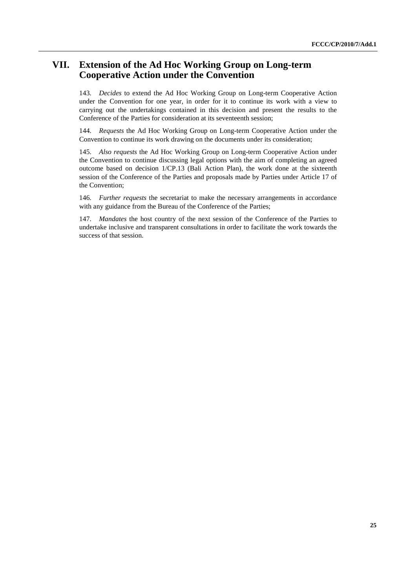# **VII. Extension of the Ad Hoc Working Group on Long-term Cooperative Action under the Convention**

143. *Decides* to extend the Ad Hoc Working Group on Long-term Cooperative Action under the Convention for one year, in order for it to continue its work with a view to carrying out the undertakings contained in this decision and present the results to the Conference of the Parties for consideration at its seventeenth session;

144. *Requests* the Ad Hoc Working Group on Long-term Cooperative Action under the Convention to continue its work drawing on the documents under its consideration;

145. *Also requests* the Ad Hoc Working Group on Long-term Cooperative Action under the Convention to continue discussing legal options with the aim of completing an agreed outcome based on decision 1/CP.13 (Bali Action Plan), the work done at the sixteenth session of the Conference of the Parties and proposals made by Parties under Article 17 of the Convention;

146. *Further requests* the secretariat to make the necessary arrangements in accordance with any guidance from the Bureau of the Conference of the Parties;

147. *Mandates* the host country of the next session of the Conference of the Parties to undertake inclusive and transparent consultations in order to facilitate the work towards the success of that session.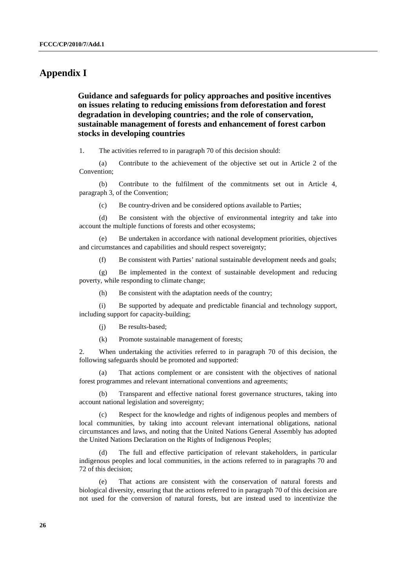# **Appendix I**

**Guidance and safeguards for policy approaches and positive incentives on issues relating to reducing emissions from deforestation and forest degradation in developing countries; and the role of conservation, sustainable management of forests and enhancement of forest carbon stocks in developing countries** 

1. The activities referred to in paragraph 70 of this decision should:

 (a) Contribute to the achievement of the objective set out in Article 2 of the Convention;

 (b) Contribute to the fulfilment of the commitments set out in Article 4, paragraph 3, of the Convention;

(c) Be country-driven and be considered options available to Parties;

 (d) Be consistent with the objective of environmental integrity and take into account the multiple functions of forests and other ecosystems;

 (e) Be undertaken in accordance with national development priorities, objectives and circumstances and capabilities and should respect sovereignty;

(f) Be consistent with Parties' national sustainable development needs and goals;

 (g) Be implemented in the context of sustainable development and reducing poverty, while responding to climate change;

(h) Be consistent with the adaptation needs of the country;

 (i) Be supported by adequate and predictable financial and technology support, including support for capacity-building;

(j) Be results-based;

(k) Promote sustainable management of forests;

2. When undertaking the activities referred to in paragraph 70 of this decision, the following safeguards should be promoted and supported:

 (a) That actions complement or are consistent with the objectives of national forest programmes and relevant international conventions and agreements;

 (b) Transparent and effective national forest governance structures, taking into account national legislation and sovereignty;

 (c) Respect for the knowledge and rights of indigenous peoples and members of local communities, by taking into account relevant international obligations, national circumstances and laws, and noting that the United Nations General Assembly has adopted the United Nations Declaration on the Rights of Indigenous Peoples;

The full and effective participation of relevant stakeholders, in particular indigenous peoples and local communities, in the actions referred to in paragraphs 70 and 72 of this decision;

 (e) That actions are consistent with the conservation of natural forests and biological diversity, ensuring that the actions referred to in paragraph 70 of this decision are not used for the conversion of natural forests, but are instead used to incentivize the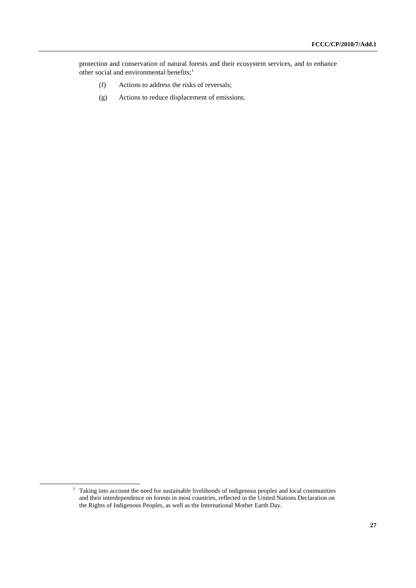protection and conservation of natural forests and their ecosystem services, and to enhance other social and environmental benefits;<sup>1</sup>

- (f) Actions to address the risks of reversals;
- (g) Actions to reduce displacement of emissions.

<sup>&</sup>lt;u>1</u>  $1$  Taking into account the need for sustainable livelihoods of indigenous peoples and local communities and their interdependence on forests in most countries, reflected in the United Nations Declaration on the Rights of Indigenous Peoples, as well as the International Mother Earth Day.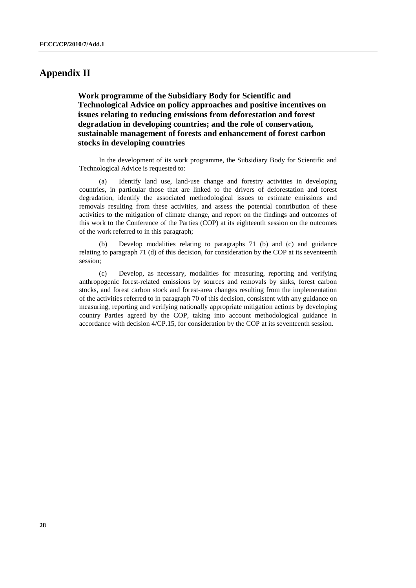# **Appendix II**

**Work programme of the Subsidiary Body for Scientific and Technological Advice on policy approaches and positive incentives on issues relating to reducing emissions from deforestation and forest degradation in developing countries; and the role of conservation, sustainable management of forests and enhancement of forest carbon stocks in developing countries** 

 In the development of its work programme, the Subsidiary Body for Scientific and Technological Advice is requested to:

 (a) Identify land use, land-use change and forestry activities in developing countries, in particular those that are linked to the drivers of deforestation and forest degradation, identify the associated methodological issues to estimate emissions and removals resulting from these activities, and assess the potential contribution of these activities to the mitigation of climate change, and report on the findings and outcomes of this work to the Conference of the Parties (COP) at its eighteenth session on the outcomes of the work referred to in this paragraph;

 (b) Develop modalities relating to paragraphs 71 (b) and (c) and guidance relating to paragraph 71 (d) of this decision, for consideration by the COP at its seventeenth session;

 (c) Develop, as necessary, modalities for measuring, reporting and verifying anthropogenic forest-related emissions by sources and removals by sinks, forest carbon stocks, and forest carbon stock and forest-area changes resulting from the implementation of the activities referred to in paragraph 70 of this decision, consistent with any guidance on measuring, reporting and verifying nationally appropriate mitigation actions by developing country Parties agreed by the COP, taking into account methodological guidance in accordance with decision 4/CP.15, for consideration by the COP at its seventeenth session.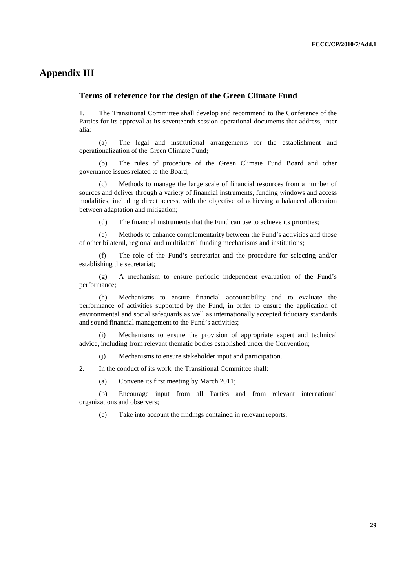# **Appendix III**

### **Terms of reference for the design of the Green Climate Fund**

1. The Transitional Committee shall develop and recommend to the Conference of the Parties for its approval at its seventeenth session operational documents that address, inter alia:

 (a) The legal and institutional arrangements for the establishment and operationalization of the Green Climate Fund;

 (b) The rules of procedure of the Green Climate Fund Board and other governance issues related to the Board;

 (c) Methods to manage the large scale of financial resources from a number of sources and deliver through a variety of financial instruments, funding windows and access modalities, including direct access, with the objective of achieving a balanced allocation between adaptation and mitigation;

(d) The financial instruments that the Fund can use to achieve its priorities;

 (e) Methods to enhance complementarity between the Fund's activities and those of other bilateral, regional and multilateral funding mechanisms and institutions;

The role of the Fund's secretariat and the procedure for selecting and/or establishing the secretariat;

 (g) A mechanism to ensure periodic independent evaluation of the Fund's performance;

 (h) Mechanisms to ensure financial accountability and to evaluate the performance of activities supported by the Fund, in order to ensure the application of environmental and social safeguards as well as internationally accepted fiduciary standards and sound financial management to the Fund's activities;

 (i) Mechanisms to ensure the provision of appropriate expert and technical advice, including from relevant thematic bodies established under the Convention;

(j) Mechanisms to ensure stakeholder input and participation.

2. In the conduct of its work, the Transitional Committee shall:

(a) Convene its first meeting by March 2011;

 (b) Encourage input from all Parties and from relevant international organizations and observers;

(c) Take into account the findings contained in relevant reports.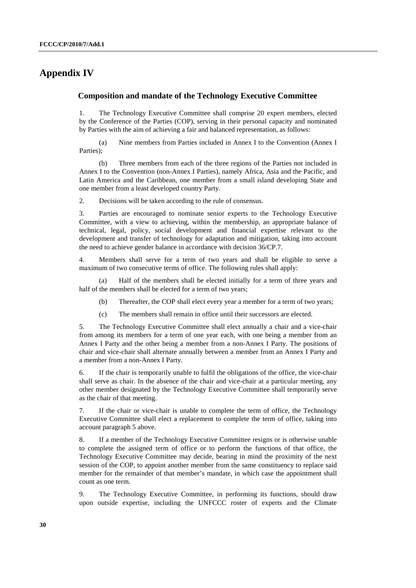# **Appendix IV**

### **Composition and mandate of the Technology Executive Committee**

1. The Technology Executive Committee shall comprise 20 expert members, elected by the Conference of the Parties (COP), serving in their personal capacity and nominated by Parties with the aim of achieving a fair and balanced representation, as follows:

 (a) Nine members from Parties included in Annex I to the Convention (Annex I Parties);

 (b) Three members from each of the three regions of the Parties not included in Annex I to the Convention (non-Annex I Parties), namely Africa, Asia and the Pacific, and Latin America and the Caribbean, one member from a small island developing State and one member from a least developed country Party.

2. Decisions will be taken according to the rule of consensus.

3. Parties are encouraged to nominate senior experts to the Technology Executive Committee, with a view to achieving, within the membership, an appropriate balance of technical, legal, policy, social development and financial expertise relevant to the development and transfer of technology for adaptation and mitigation, taking into account the need to achieve gender balance in accordance with decision 36/CP.7.

4. Members shall serve for a term of two years and shall be eligible to serve a maximum of two consecutive terms of office. The following rules shall apply:

Half of the members shall be elected initially for a term of three years and half of the members shall be elected for a term of two years;

- (b) Thereafter, the COP shall elect every year a member for a term of two years;
- (c) The members shall remain in office until their successors are elected.

5. The Technology Executive Committee shall elect annually a chair and a vice-chair from among its members for a term of one year each, with one being a member from an Annex I Party and the other being a member from a non-Annex I Party. The positions of chair and vice-chair shall alternate annually between a member from an Annex I Party and a member from a non-Annex I Party.

6. If the chair is temporarily unable to fulfil the obligations of the office, the vice-chair shall serve as chair. In the absence of the chair and vice-chair at a particular meeting, any other member designated by the Technology Executive Committee shall temporarily serve as the chair of that meeting.

7. If the chair or vice-chair is unable to complete the term of office, the Technology Executive Committee shall elect a replacement to complete the term of office, taking into account paragraph 5 above.

8. If a member of the Technology Executive Committee resigns or is otherwise unable to complete the assigned term of office or to perform the functions of that office, the Technology Executive Committee may decide, bearing in mind the proximity of the next session of the COP, to appoint another member from the same constituency to replace said member for the remainder of that member's mandate, in which case the appointment shall count as one term.

9. The Technology Executive Committee, in performing its functions, should draw upon outside expertise, including the UNFCCC roster of experts and the Climate